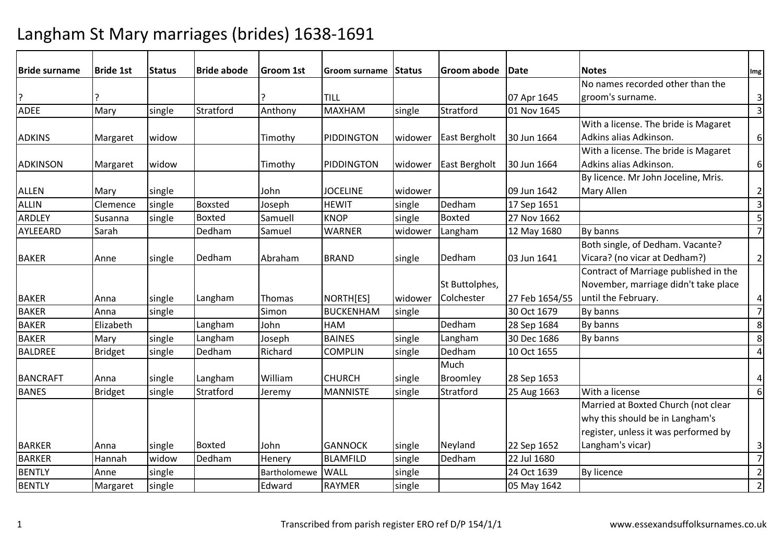| <b>Bride surname</b> | <b>Bride 1st</b> | <b>Status</b> | <b>Bride abode</b> | <b>Groom 1st</b> | Groom surname    | Status  | Groom abode    | <b>IDate</b>   | <b>Notes</b>                          | Img                     |
|----------------------|------------------|---------------|--------------------|------------------|------------------|---------|----------------|----------------|---------------------------------------|-------------------------|
|                      |                  |               |                    |                  |                  |         |                |                | No names recorded other than the      |                         |
| ?                    |                  |               |                    |                  | <b>TILL</b>      |         |                | 07 Apr 1645    | groom's surname.                      | $\mathbf{3}$            |
| <b>ADEE</b>          | Mary             | single        | Stratford          | Anthony          | <b>MAXHAM</b>    | single  | Stratford      | 01 Nov 1645    |                                       | $\overline{\mathbf{3}}$ |
|                      |                  |               |                    |                  |                  |         |                |                | With a license. The bride is Magaret  |                         |
| <b>ADKINS</b>        | Margaret         | widow         |                    | Timothy          | PIDDINGTON       | widower | East Bergholt  | 30 Jun 1664    | Adkins alias Adkinson.                | 6                       |
|                      |                  |               |                    |                  |                  |         |                |                | With a license. The bride is Magaret  |                         |
| ADKINSON             | Margaret         | widow         |                    | Timothy          | PIDDINGTON       | widower | East Bergholt  | 30 Jun 1664    | Adkins alias Adkinson.                | 6                       |
|                      |                  |               |                    |                  |                  |         |                |                | By licence. Mr John Joceline, Mris.   |                         |
| <b>ALLEN</b>         | Mary             | single        |                    | John             | <b>JOCELINE</b>  | widower |                | 09 Jun 1642    | Mary Allen                            | $\overline{2}$          |
| <b>ALLIN</b>         | Clemence         | single        | <b>Boxsted</b>     | Joseph           | <b>HEWIT</b>     | single  | Dedham         | 17 Sep 1651    |                                       | $\overline{\mathbf{3}}$ |
| ARDLEY               | Susanna          | single        | <b>Boxted</b>      | Samuell          | <b>KNOP</b>      | single  | Boxted         | 27 Nov 1662    |                                       | 5                       |
| AYLEEARD             | Sarah            |               | Dedham             | Samuel           | <b>WARNER</b>    | widower | Langham        | 12 May 1680    | By banns                              | $\overline{7}$          |
|                      |                  |               |                    |                  |                  |         |                |                | Both single, of Dedham. Vacante?      |                         |
| <b>BAKER</b>         | Anne             | single        | Dedham             | Abraham          | <b>BRAND</b>     | single  | Dedham         | 03 Jun 1641    | Vicara? (no vicar at Dedham?)         | $\overline{2}$          |
|                      |                  |               |                    |                  |                  |         |                |                | Contract of Marriage published in the |                         |
|                      |                  |               |                    |                  |                  |         | St Buttolphes, |                | November, marriage didn't take place  |                         |
| <b>BAKER</b>         | Anna             | single        | Langham            | Thomas           | NORTH[ES]        | widower | Colchester     | 27 Feb 1654/55 | until the February.                   | 4                       |
| <b>BAKER</b>         | Anna             | single        |                    | Simon            | <b>BUCKENHAM</b> | single  |                | 30 Oct 1679    | By banns                              | $\overline{7}$          |
| <b>BAKER</b>         | Elizabeth        |               | Langham            | John             | <b>HAM</b>       |         | Dedham         | 28 Sep 1684    | By banns                              | 8                       |
| <b>BAKER</b>         | Mary             | single        | Langham            | Joseph           | <b>BAINES</b>    | single  | Langham        | 30 Dec 1686    | By banns                              | 8                       |
| <b>BALDREE</b>       | <b>Bridget</b>   | single        | Dedham             | Richard          | <b>COMPLIN</b>   | single  | Dedham         | 10 Oct 1655    |                                       | $\overline{4}$          |
|                      |                  |               |                    |                  |                  |         | Much           |                |                                       |                         |
| <b>BANCRAFT</b>      | Anna             | single        | Langham            | William          | <b>CHURCH</b>    | single  | Broomley       | 28 Sep 1653    |                                       | 4                       |
| <b>BANES</b>         | <b>Bridget</b>   | single        | Stratford          | Jeremy           | <b>MANNISTE</b>  | single  | Stratford      | 25 Aug 1663    | With a license                        | 6                       |
|                      |                  |               |                    |                  |                  |         |                |                | Married at Boxted Church (not clear   |                         |
|                      |                  |               |                    |                  |                  |         |                |                | why this should be in Langham's       |                         |
|                      |                  |               |                    |                  |                  |         |                |                | register, unless it was performed by  |                         |
| <b>BARKER</b>        | Anna             | single        | <b>Boxted</b>      | John             | <b>GANNOCK</b>   | single  | Neyland        | 22 Sep 1652    | Langham's vicar)                      | 3                       |
| <b>BARKER</b>        | Hannah           | widow         | Dedham             | Henery           | <b>BLAMFILD</b>  | single  | Dedham         | 22 Jul 1680    |                                       | $\overline{7}$          |
| <b>BENTLY</b>        | Anne             | single        |                    | Bartholomewe     | <b>WALL</b>      | single  |                | 24 Oct 1639    | <b>By licence</b>                     | $\overline{2}$          |
| <b>BENTLY</b>        | Margaret         | single        |                    | Edward           | <b>RAYMER</b>    | single  |                | 05 May 1642    |                                       | $\overline{2}$          |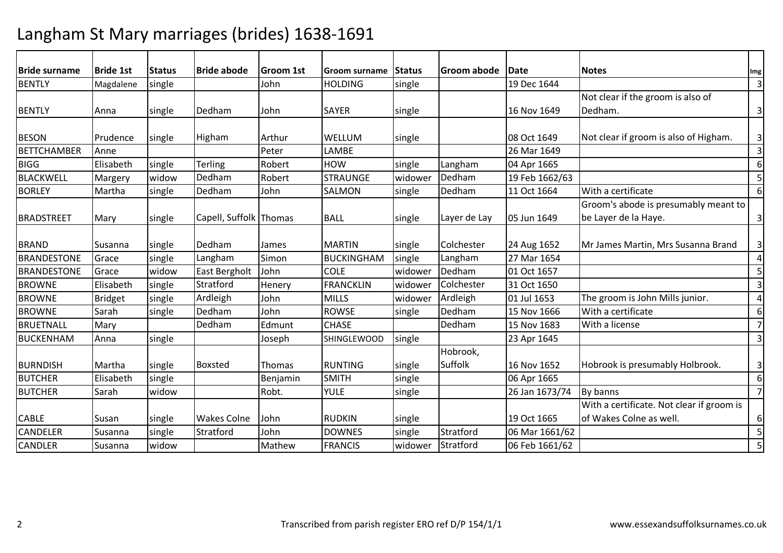| <b>Bride surname</b> | <b>Bride 1st</b> | <b>Status</b> | <b>Bride abode</b>     | <b>Groom 1st</b> | <b>Groom surname</b> | <b>Status</b> | <b>Groom abode</b> | <b>IDate</b>   | <b>Notes</b>                              | Img                     |
|----------------------|------------------|---------------|------------------------|------------------|----------------------|---------------|--------------------|----------------|-------------------------------------------|-------------------------|
| <b>BENTLY</b>        | Magdalene        | single        |                        | John             | <b>HOLDING</b>       | single        |                    | 19 Dec 1644    |                                           | $\overline{\mathbf{3}}$ |
|                      |                  |               |                        |                  |                      |               |                    |                | Not clear if the groom is also of         |                         |
| <b>BENTLY</b>        | Anna             | single        | Dedham                 | John             | <b>SAYER</b>         | single        |                    | 16 Nov 1649    | Dedham.                                   | $\overline{3}$          |
|                      |                  |               |                        |                  |                      |               |                    |                |                                           |                         |
| <b>BESON</b>         | Prudence         | single        | Higham                 | Arthur           | <b>WELLUM</b>        | single        |                    | 08 Oct 1649    | Not clear if groom is also of Higham.     | $\overline{3}$          |
| <b>BETTCHAMBER</b>   | Anne             |               |                        | Peter            | LAMBE                |               |                    | 26 Mar 1649    |                                           | $\overline{\mathbf{3}}$ |
| <b>BIGG</b>          | Elisabeth        | single        | <b>Terling</b>         | Robert           | <b>HOW</b>           | single        | Langham            | 04 Apr 1665    |                                           | 6                       |
| BLACKWELL            | Margery          | widow         | Dedham                 | Robert           | <b>STRAUNGE</b>      | widower       | Dedham             | 19 Feb 1662/63 |                                           | 5                       |
| <b>BORLEY</b>        | Martha           | single        | Dedham                 | John             | <b>SALMON</b>        | single        | Dedham             | 11 Oct 1664    | With a certificate                        | 6                       |
|                      |                  |               |                        |                  |                      |               |                    |                | Groom's abode is presumably meant to      |                         |
| BRADSTREET           | Mary             | single        | Capell, Suffolk Thomas |                  | <b>BALL</b>          | single        | Layer de Lay       | 05 Jun 1649    | be Layer de la Haye.                      | 3                       |
|                      |                  |               |                        |                  |                      |               |                    |                |                                           |                         |
| <b>BRAND</b>         | Susanna          | single        | Dedham                 | James            | <b>MARTIN</b>        | single        | Colchester         | 24 Aug 1652    | Mr James Martin, Mrs Susanna Brand        | 3                       |
| <b>BRANDESTONE</b>   | Grace            | single        | Langham                | Simon            | <b>BUCKINGHAM</b>    | single        | Langham            | 27 Mar 1654    |                                           | 4                       |
| <b>BRANDESTONE</b>   | Grace            | widow         | East Bergholt          | John             | <b>COLE</b>          | widower       | Dedham             | 01 Oct 1657    |                                           | 5                       |
| <b>BROWNE</b>        | Elisabeth        | single        | Stratford              | Henery           | <b>FRANCKLIN</b>     | widower       | Colchester         | 31 Oct 1650    |                                           | 3                       |
| <b>BROWNE</b>        | <b>Bridget</b>   | single        | Ardleigh               | John             | <b>MILLS</b>         | widower       | Ardleigh           | 01 Jul 1653    | The groom is John Mills junior.           | $\overline{a}$          |
| <b>BROWNE</b>        | Sarah            | single        | Dedham                 | John             | <b>ROWSE</b>         | single        | Dedham             | 15 Nov 1666    | With a certificate                        | 6                       |
| <b>BRUETNALL</b>     | Mary             |               | Dedham                 | Edmunt           | <b>CHASE</b>         |               | Dedham             | 15 Nov 1683    | With a license                            | $\overline{7}$          |
| BUCKENHAM            | Anna             | single        |                        | Joseph           | <b>SHINGLEWOOD</b>   | single        |                    | 23 Apr 1645    |                                           | $\overline{\mathbf{3}}$ |
|                      |                  |               |                        |                  |                      |               | Hobrook,           |                |                                           |                         |
| <b>BURNDISH</b>      | Martha           | single        | <b>Boxsted</b>         | Thomas           | <b>RUNTING</b>       | single        | Suffolk            | 16 Nov 1652    | Hobrook is presumably Holbrook.           | $\mathbf{3}$            |
| <b>BUTCHER</b>       | Elisabeth        | single        |                        | Benjamin         | <b>SMITH</b>         | single        |                    | 06 Apr 1665    |                                           | $\boldsymbol{6}$        |
| <b>BUTCHER</b>       | Sarah            | widow         |                        | Robt.            | <b>YULE</b>          | single        |                    | 26 Jan 1673/74 | By banns                                  | $\overline{7}$          |
|                      |                  |               |                        |                  |                      |               |                    |                | With a certificate. Not clear if groom is |                         |
| <b>CABLE</b>         | Susan            | single        | <b>Wakes Colne</b>     | John             | <b>RUDKIN</b>        | single        |                    | 19 Oct 1665    | of Wakes Colne as well.                   | 6                       |
| <b>CANDELER</b>      | Susanna          | single        | Stratford              | John             | <b>DOWNES</b>        | single        | Stratford          | 06 Mar 1661/62 |                                           | 5                       |
| <b>CANDLER</b>       | Susanna          | widow         |                        | Mathew           | <b>FRANCIS</b>       | widower       | Stratford          | 06 Feb 1661/62 |                                           | 5                       |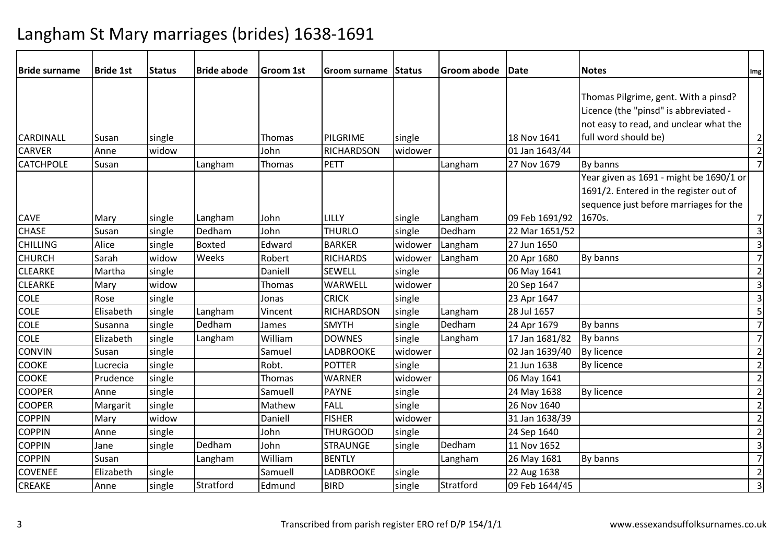| <b>Bride surname</b> | <b>Bride 1st</b> | <b>Status</b> | <b>Bride abode</b> | Groom 1st | Groom surname     | Status  | Groom abode | Date           | <b>Notes</b>                            | Img                     |
|----------------------|------------------|---------------|--------------------|-----------|-------------------|---------|-------------|----------------|-----------------------------------------|-------------------------|
|                      |                  |               |                    |           |                   |         |             |                |                                         |                         |
|                      |                  |               |                    |           |                   |         |             |                | Thomas Pilgrime, gent. With a pinsd?    |                         |
|                      |                  |               |                    |           |                   |         |             |                | Licence (the "pinsd" is abbreviated -   |                         |
|                      |                  |               |                    |           |                   |         |             |                | not easy to read, and unclear what the  |                         |
| CARDINALL            | Susan            | single        |                    | Thomas    | <b>PILGRIME</b>   | single  |             | 18 Nov 1641    | full word should be)                    | $\overline{2}$          |
| <b>CARVER</b>        | Anne             | widow         |                    | John      | <b>RICHARDSON</b> | widower |             | 01 Jan 1643/44 |                                         | $\overline{2}$          |
| <b>CATCHPOLE</b>     | Susan            |               | Langham            | Thomas    | <b>PETT</b>       |         | Langham     | 27 Nov 1679    | By banns                                | 7                       |
|                      |                  |               |                    |           |                   |         |             |                | Year given as 1691 - might be 1690/1 or |                         |
|                      |                  |               |                    |           |                   |         |             |                | 1691/2. Entered in the register out of  |                         |
|                      |                  |               |                    |           |                   |         |             |                | sequence just before marriages for the  |                         |
| <b>CAVE</b>          | Mary             | single        | Langham            | John      | LILLY             | single  | Langham     | 09 Feb 1691/92 | 1670s.                                  | 7                       |
| <b>CHASE</b>         | Susan            | single        | Dedham             | John      | <b>THURLO</b>     | single  | Dedham      | 22 Mar 1651/52 |                                         | $\overline{\mathbf{3}}$ |
| <b>CHILLING</b>      | Alice            | single        | <b>Boxted</b>      | Edward    | <b>BARKER</b>     | widower | Langham     | 27 Jun 1650    |                                         | $\overline{\mathbf{3}}$ |
| <b>CHURCH</b>        | Sarah            | widow         | Weeks              | Robert    | <b>RICHARDS</b>   | widower | Langham     | 20 Apr 1680    | By banns                                | $\overline{7}$          |
| <b>CLEARKE</b>       | Martha           | single        |                    | Daniell   | <b>SEWELL</b>     | single  |             | 06 May 1641    |                                         | $\overline{2}$          |
| <b>CLEARKE</b>       | Mary             | widow         |                    | Thomas    | WARWELL           | widower |             | 20 Sep 1647    |                                         | $\overline{\mathbf{3}}$ |
| <b>COLE</b>          | Rose             | single        |                    | Jonas     | <b>CRICK</b>      | single  |             | 23 Apr 1647    |                                         | $\overline{\mathbf{3}}$ |
| <b>COLE</b>          | Elisabeth        | single        | Langham            | Vincent   | <b>RICHARDSON</b> | single  | Langham     | 28 Jul 1657    |                                         | 5                       |
| <b>COLE</b>          | Susanna          | single        | Dedham             | James     | <b>SMYTH</b>      | single  | Dedham      | 24 Apr 1679    | By banns                                | $\overline{7}$          |
| <b>COLE</b>          | Elizabeth        | single        | Langham            | William   | <b>DOWNES</b>     | single  | Langham     | 17 Jan 1681/82 | By banns                                | $\overline{7}$          |
| <b>CONVIN</b>        | Susan            | single        |                    | Samuel    | <b>LADBROOKE</b>  | widower |             | 02 Jan 1639/40 | By licence                              | $\overline{2}$          |
| <b>COOKE</b>         | Lucrecia         | single        |                    | Robt.     | <b>POTTER</b>     | single  |             | 21 Jun 1638    | <b>By licence</b>                       | $\overline{2}$          |
| <b>COOKE</b>         | Prudence         | single        |                    | Thomas    | <b>WARNER</b>     | widower |             | 06 May 1641    |                                         | $\overline{2}$          |
| <b>COOPER</b>        | Anne             | single        |                    | Samuell   | <b>PAYNE</b>      | single  |             | 24 May 1638    | <b>By licence</b>                       | $\overline{2}$          |
| <b>COOPER</b>        | Margarit         | single        |                    | Mathew    | <b>FALL</b>       | single  |             | 26 Nov 1640    |                                         | $\overline{2}$          |
| <b>COPPIN</b>        | Mary             | widow         |                    | Daniell   | <b>FISHER</b>     | widower |             | 31 Jan 1638/39 |                                         | $\overline{2}$          |
| <b>COPPIN</b>        | Anne             | single        |                    | John      | <b>THURGOOD</b>   | single  |             | 24 Sep 1640    |                                         | $\overline{2}$          |
| <b>COPPIN</b>        | Jane             | single        | Dedham             | John      | <b>STRAUNGE</b>   | single  | Dedham      | 11 Nov 1652    |                                         | $\overline{\mathbf{3}}$ |
| <b>COPPIN</b>        | Susan            |               | Langham            | William   | <b>BENTLY</b>     |         | Langham     | 26 May 1681    | By banns                                | $\overline{7}$          |
| <b>COVENEE</b>       | Elizabeth        | single        |                    | Samuell   | <b>LADBROOKE</b>  | single  |             | 22 Aug 1638    |                                         | $\overline{2}$          |
| <b>CREAKE</b>        | Anne             | single        | Stratford          | Edmund    | <b>BIRD</b>       | single  | Stratford   | 09 Feb 1644/45 |                                         | $\overline{\mathbf{3}}$ |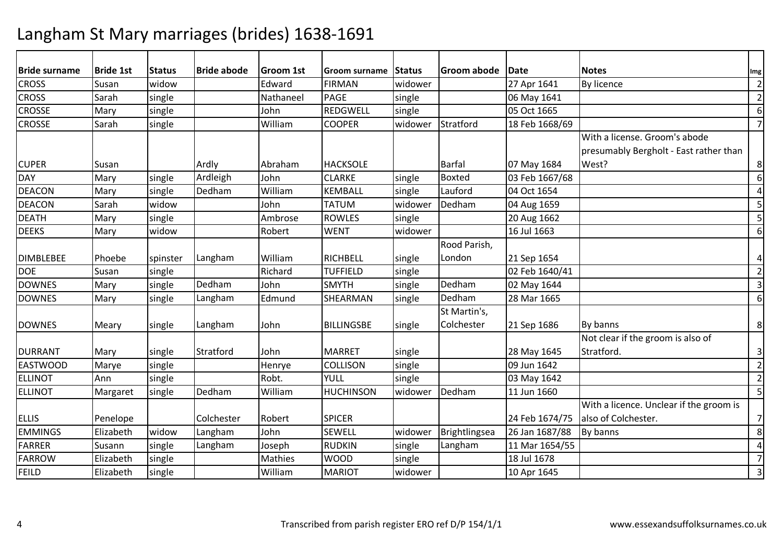| <b>Bride surname</b> | <b>Bride 1st</b> | <b>Status</b> | <b>Bride abode</b> | <b>Groom 1st</b> | Groom surname     | <b>Status</b> | Groom abode   | Date           | <b>Notes</b>                            | Img                      |
|----------------------|------------------|---------------|--------------------|------------------|-------------------|---------------|---------------|----------------|-----------------------------------------|--------------------------|
| <b>CROSS</b>         | Susan            | widow         |                    | Edward           | <b>FIRMAN</b>     | widower       |               | 27 Apr 1641    | By licence                              | $\overline{2}$           |
| <b>CROSS</b>         | Sarah            | single        |                    | Nathaneel        | PAGE              | single        |               | 06 May 1641    |                                         | $\overline{2}$           |
| <b>CROSSE</b>        | Mary             | single        |                    | John             | <b>REDGWELL</b>   | single        |               | 05 Oct 1665    |                                         | $6\,$                    |
| <b>CROSSE</b>        | Sarah            | single        |                    | William          | <b>COOPER</b>     | widower       | Stratford     | 18 Feb 1668/69 |                                         | $\overline{\phantom{a}}$ |
|                      |                  |               |                    |                  |                   |               |               |                | With a license. Groom's abode           |                          |
|                      |                  |               |                    |                  |                   |               |               |                | presumably Bergholt - East rather than  |                          |
| <b>CUPER</b>         | Susan            |               | Ardly              | Abraham          | <b>HACKSOLE</b>   |               | <b>Barfal</b> | 07 May 1684    | West?                                   | 8                        |
| <b>DAY</b>           | Mary             | single        | Ardleigh           | John             | <b>CLARKE</b>     | single        | <b>Boxted</b> | 03 Feb 1667/68 |                                         | 6                        |
| <b>DEACON</b>        | Mary             | single        | Dedham             | William          | <b>KEMBALL</b>    | single        | Lauford       | 04 Oct 1654    |                                         | $\overline{4}$           |
| <b>DEACON</b>        | Sarah            | widow         |                    | John             | <b>TATUM</b>      | widower       | Dedham        | 04 Aug 1659    |                                         | 5                        |
| <b>DEATH</b>         | Mary             | single        |                    | Ambrose          | <b>ROWLES</b>     | single        |               | 20 Aug 1662    |                                         | 5                        |
| <b>DEEKS</b>         | Mary             | widow         |                    | Robert           | <b>WENT</b>       | widower       |               | 16 Jul 1663    |                                         | $6\,$                    |
|                      |                  |               |                    |                  |                   |               | Rood Parish,  |                |                                         |                          |
| <b>DIMBLEBEE</b>     | Phoebe           | spinster      | Langham            | William          | <b>RICHBELL</b>   | single        | London        | 21 Sep 1654    |                                         | $\overline{4}$           |
| <b>DOE</b>           | Susan            | single        |                    | Richard          | <b>TUFFIELD</b>   | single        |               | 02 Feb 1640/41 |                                         | $\overline{2}$           |
| <b>DOWNES</b>        | Mary             | single        | Dedham             | John             | <b>SMYTH</b>      | single        | Dedham        | 02 May 1644    |                                         | $\overline{3}$           |
| <b>DOWNES</b>        | Mary             | single        | Langham            | Edmund           | SHEARMAN          | single        | Dedham        | 28 Mar 1665    |                                         | $6\,$                    |
|                      |                  |               |                    |                  |                   |               | St Martin's,  |                |                                         |                          |
| <b>DOWNES</b>        | Meary            | single        | Langham            | John             | <b>BILLINGSBE</b> | single        | Colchester    | 21 Sep 1686    | By banns                                | 8                        |
|                      |                  |               |                    |                  |                   |               |               |                | Not clear if the groom is also of       |                          |
| <b>DURRANT</b>       | Mary             | single        | Stratford          | John             | <b>MARRET</b>     | single        |               | 28 May 1645    | Stratford.                              | $\mathsf 3$              |
| <b>EASTWOOD</b>      | Marye            | single        |                    | Henrye           | <b>COLLISON</b>   | single        |               | 09 Jun 1642    |                                         | $\overline{2}$           |
| <b>ELLINOT</b>       | Ann              | single        |                    | Robt.            | YULL              | single        |               | 03 May 1642    |                                         | $\overline{2}$           |
| <b>ELLINOT</b>       | Margaret         | single        | Dedham             | William          | <b>HUCHINSON</b>  | widower       | Dedham        | 11 Jun 1660    |                                         | 5                        |
|                      |                  |               |                    |                  |                   |               |               |                | With a licence. Unclear if the groom is |                          |
| <b>ELLIS</b>         | Penelope         |               | Colchester         | Robert           | <b>SPICER</b>     |               |               | 24 Feb 1674/75 | also of Colchester.                     | $\overline{7}$           |
| <b>EMMINGS</b>       | Elizabeth        | widow         | Langham            | John             | <b>SEWELL</b>     | widower       | Brightlingsea | 26 Jan 1687/88 | By banns                                | 8                        |
| <b>FARRER</b>        | Susann           | single        | Langham            | Joseph           | <b>RUDKIN</b>     | single        | Langham       | 11 Mar 1654/55 |                                         | $\overline{4}$           |
| <b>FARROW</b>        | Elizabeth        | single        |                    | Mathies          | <b>WOOD</b>       | single        |               | 18 Jul 1678    |                                         | $\overline{7}$           |
| <b>FEILD</b>         | Elizabeth        | single        |                    | William          | <b>MARIOT</b>     | widower       |               | 10 Apr 1645    |                                         | $\overline{3}$           |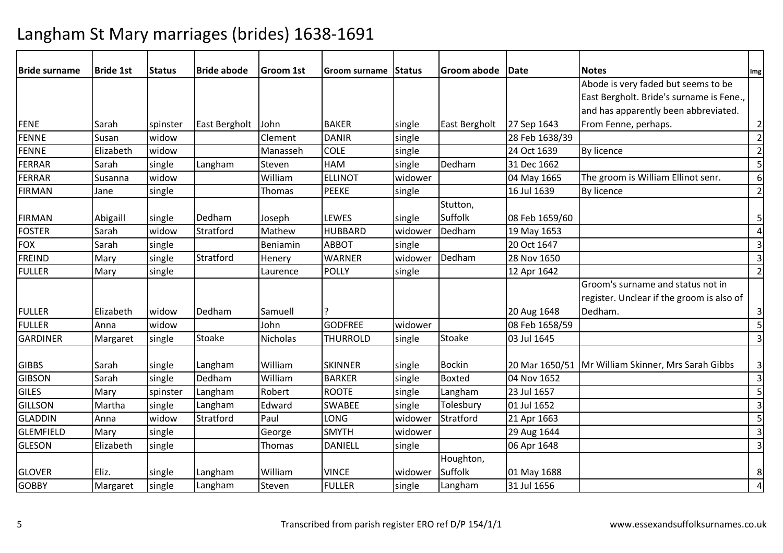| <b>Bride surname</b> | <b>Bride 1st</b> | <b>Status</b> | <b>Bride abode</b> | Groom 1st       | <b>Groom surname</b> | Status  | Groom abode   | Date           | <b>Notes</b>                                       | Img            |
|----------------------|------------------|---------------|--------------------|-----------------|----------------------|---------|---------------|----------------|----------------------------------------------------|----------------|
|                      |                  |               |                    |                 |                      |         |               |                | Abode is very faded but seems to be                |                |
|                      |                  |               |                    |                 |                      |         |               |                | East Bergholt. Bride's surname is Fene.,           |                |
|                      |                  |               |                    |                 |                      |         |               |                | and has apparently been abbreviated.               |                |
| FENE                 | Sarah            | spinster      | East Bergholt      | John            | <b>BAKER</b>         | single  | East Bergholt | 27 Sep 1643    | From Fenne, perhaps.                               | $\overline{2}$ |
| <b>FENNE</b>         | Susan            | widow         |                    | Clement         | <b>DANIR</b>         | single  |               | 28 Feb 1638/39 |                                                    | $\overline{2}$ |
| <b>FENNE</b>         | Elizabeth        | widow         |                    | Manasseh        | <b>COLE</b>          | single  |               | 24 Oct 1639    | By licence                                         | $\mathbf 2$    |
| <b>FERRAR</b>        | Sarah            | single        | Langham            | Steven          | <b>HAM</b>           | single  | Dedham        | 31 Dec 1662    |                                                    |                |
| <b>FERRAR</b>        | Susanna          | widow         |                    | William         | <b>ELLINOT</b>       | widower |               | 04 May 1665    | The groom is William Ellinot senr.                 | 6              |
| <b>FIRMAN</b>        | Jane             | single        |                    | Thomas          | <b>PEEKE</b>         | single  |               | 16 Jul 1639    | By licence                                         | $\overline{2}$ |
|                      |                  |               |                    |                 |                      |         | Stutton,      |                |                                                    |                |
| <b>FIRMAN</b>        | Abigaill         | single        | Dedham             | Joseph          | <b>LEWES</b>         | single  | Suffolk       | 08 Feb 1659/60 |                                                    | 5              |
| <b>FOSTER</b>        | Sarah            | widow         | Stratford          | Mathew          | <b>HUBBARD</b>       | widower | Dedham        | 19 May 1653    |                                                    | 4              |
| <b>FOX</b>           | Sarah            | single        |                    | Beniamin        | <b>ABBOT</b>         | single  |               | 20 Oct 1647    |                                                    | $\mathsf 3$    |
| <b>FREIND</b>        | Mary             | single        | Stratford          | Henery          | <b>WARNER</b>        | widower | Dedham        | 28 Nov 1650    |                                                    | $\mathsf{3}$   |
| <b>FULLER</b>        | Mary             | single        |                    | Laurence        | POLLY                | single  |               | 12 Apr 1642    |                                                    | $\overline{2}$ |
|                      |                  |               |                    |                 |                      |         |               |                | Groom's surname and status not in                  |                |
|                      |                  |               |                    |                 |                      |         |               |                | register. Unclear if the groom is also of          |                |
| <b>FULLER</b>        | Elizabeth        | widow         | Dedham             | Samuell         |                      |         |               | 20 Aug 1648    | Dedham.                                            | 3              |
| <b>FULLER</b>        | Anna             | widow         |                    | John            | <b>GODFREE</b>       | widower |               | 08 Feb 1658/59 |                                                    | $\overline{5}$ |
| <b>GARDINER</b>      | Margaret         | single        | Stoake             | <b>Nicholas</b> | <b>THURROLD</b>      | single  | Stoake        | 03 Jul 1645    |                                                    | $\mathsf 3$    |
|                      |                  |               |                    |                 |                      |         |               |                |                                                    |                |
| <b>GIBBS</b>         | Sarah            | single        | Langham            | William         | <b>SKINNER</b>       | single  | <b>Bockin</b> |                | 20 Mar 1650/51 Mr William Skinner, Mrs Sarah Gibbs | $\mathsf 3$    |
| <b>GIBSON</b>        | Sarah            | single        | Dedham             | William         | <b>BARKER</b>        | single  | <b>Boxted</b> | 04 Nov 1652    |                                                    | $\mathsf{3}$   |
| <b>GILES</b>         | Mary             | spinster      | Langham            | Robert          | <b>ROOTE</b>         | single  | Langham       | 23 Jul 1657    |                                                    | 5              |
| <b>GILLSON</b>       | Martha           | single        | Langham            | Edward          | <b>SWABEE</b>        | single  | Tolesbury     | 01 Jul 1652    |                                                    | $\mathsf{3}$   |
| <b>GLADDIN</b>       | Anna             | widow         | Stratford          | Paul            | <b>LONG</b>          | widower | Stratford     | 21 Apr 1663    |                                                    | 5              |
| <b>GLEMFIELD</b>     | Mary             | single        |                    | George          | <b>SMYTH</b>         | widower |               | 29 Aug 1644    |                                                    | $\mathsf{3}$   |
| <b>GLESON</b>        | Elizabeth        | single        |                    | Thomas          | <b>DANIELL</b>       | single  |               | 06 Apr 1648    |                                                    | 3              |
|                      |                  |               |                    |                 |                      |         | Houghton,     |                |                                                    |                |
| <b>GLOVER</b>        | Eliz.            | single        | Langham            | William         | <b>VINCE</b>         | widower | Suffolk       | 01 May 1688    |                                                    | 8              |
| <b>GOBBY</b>         | Margaret         | single        | Langham            | Steven          | <b>FULLER</b>        | single  | Langham       | 31 Jul 1656    |                                                    | $\overline{4}$ |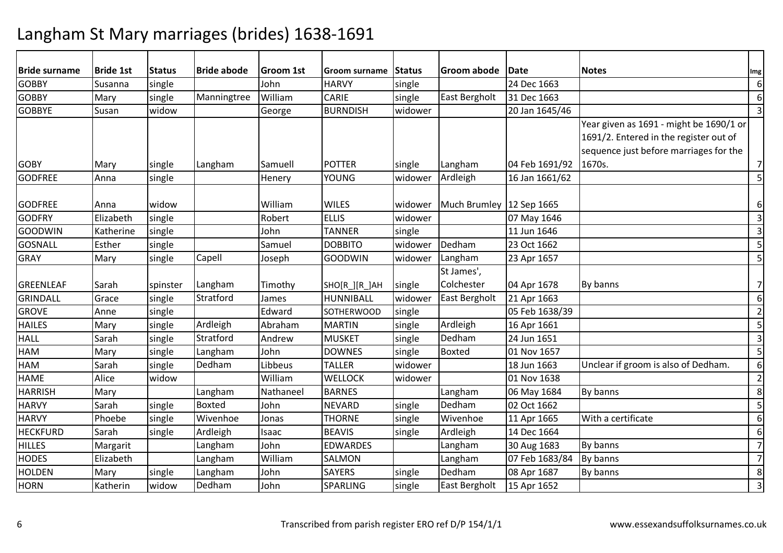| <b>Bride surname</b> | <b>Bride 1st</b> | <b>Status</b> | <b>Bride abode</b> | Groom 1st | Groom surname     | Status  | <b>Groom abode</b>       | <b>IDate</b>   | <b>Notes</b>                            | Img                     |
|----------------------|------------------|---------------|--------------------|-----------|-------------------|---------|--------------------------|----------------|-----------------------------------------|-------------------------|
| <b>GOBBY</b>         | Susanna          | single        |                    | John      | <b>HARVY</b>      | single  |                          | 24 Dec 1663    |                                         | 6                       |
| <b>GOBBY</b>         | Mary             | single        | Manningtree        | William   | <b>CARIE</b>      | single  | East Bergholt            | 31 Dec 1663    |                                         | 6                       |
| <b>GOBBYE</b>        | Susan            | widow         |                    | George    | <b>BURNDISH</b>   | widower |                          | 20 Jan 1645/46 |                                         | $\overline{\mathbf{3}}$ |
|                      |                  |               |                    |           |                   |         |                          |                | Year given as 1691 - might be 1690/1 or |                         |
|                      |                  |               |                    |           |                   |         |                          |                | 1691/2. Entered in the register out of  |                         |
|                      |                  |               |                    |           |                   |         |                          |                | sequence just before marriages for the  |                         |
| <b>GOBY</b>          | Mary             | single        | Langham            | Samuell   | <b>POTTER</b>     | single  | Langham                  | 04 Feb 1691/92 | 1670s.                                  | 7                       |
| <b>GODFREE</b>       | Anna             | single        |                    | Henery    | <b>YOUNG</b>      | widower | Ardleigh                 | 16 Jan 1661/62 |                                         | 5                       |
|                      |                  |               |                    |           |                   |         |                          |                |                                         |                         |
| <b>GODFREE</b>       | Anna             | widow         |                    | William   | <b>WILES</b>      | widower | Much Brumley 12 Sep 1665 |                |                                         | 6                       |
| <b>GODFRY</b>        | Elizabeth        | single        |                    | Robert    | <b>ELLIS</b>      | widower |                          | 07 May 1646    |                                         | $\overline{\mathbf{3}}$ |
| GOODWIN              | Katherine        | single        |                    | John      | <b>TANNER</b>     | single  |                          | 11 Jun 1646    |                                         | $\overline{\mathbf{3}}$ |
| <b>GOSNALL</b>       | Esther           | single        |                    | Samuel    | <b>DOBBITO</b>    | widower | Dedham                   | 23 Oct 1662    |                                         | 5                       |
| <b>GRAY</b>          | Mary             | single        | Capell             | Joseph    | GOODWIN           | widower | Langham                  | 23 Apr 1657    |                                         | 5                       |
|                      |                  |               |                    |           |                   |         | St James',               |                |                                         |                         |
| GREENLEAF            | Sarah            | spinster      | Langham            | Timothy   | SHO[R_][R_]AH     | single  | Colchester               | 04 Apr 1678    | By banns                                | $\overline{7}$          |
| GRINDALL             | Grace            | single        | Stratford          | James     | HUNNIBALL         | widower | <b>East Bergholt</b>     | 21 Apr 1663    |                                         | 6                       |
| <b>GROVE</b>         | Anne             | single        |                    | Edward    | <b>SOTHERWOOD</b> | single  |                          | 05 Feb 1638/39 |                                         | $\overline{2}$          |
| <b>HAILES</b>        | Mary             | single        | Ardleigh           | Abraham   | <b>MARTIN</b>     | single  | Ardleigh                 | 16 Apr 1661    |                                         | 5                       |
| <b>HALL</b>          | Sarah            | single        | Stratford          | Andrew    | <b>MUSKET</b>     | single  | Dedham                   | 24 Jun 1651    |                                         | $\overline{\mathbf{3}}$ |
| <b>HAM</b>           | Mary             | single        | Langham            | John      | <b>DOWNES</b>     | single  | Boxted                   | 01 Nov 1657    |                                         | 5                       |
| <b>HAM</b>           | Sarah            | single        | Dedham             | Libbeus   | <b>TALLER</b>     | widower |                          | 18 Jun 1663    | Unclear if groom is also of Dedham.     | 6                       |
| <b>HAME</b>          | Alice            | widow         |                    | William   | <b>WELLOCK</b>    | widower |                          | 01 Nov 1638    |                                         | $\overline{2}$          |
| <b>HARRISH</b>       | Mary             |               | Langham            | Nathaneel | <b>BARNES</b>     |         | Langham                  | 06 May 1684    | By banns                                | 8                       |
| <b>HARVY</b>         | Sarah            | single        | <b>Boxted</b>      | John      | <b>NEVARD</b>     | single  | Dedham                   | 02 Oct 1662    |                                         | 5                       |
| <b>HARVY</b>         | Phoebe           | single        | Wivenhoe           | Jonas     | <b>THORNE</b>     | single  | Wivenhoe                 | 11 Apr 1665    | With a certificate                      | 6                       |
| <b>HECKFURD</b>      | Sarah            | single        | Ardleigh           | Isaac     | <b>BEAVIS</b>     | single  | Ardleigh                 | 14 Dec 1664    |                                         | 6                       |
| <b>HILLES</b>        | Margarit         |               | Langham            | John      | <b>EDWARDES</b>   |         | Langham                  | 30 Aug 1683    | By banns                                | $\overline{7}$          |
| <b>HODES</b>         | Elizabeth        |               | Langham            | William   | <b>SALMON</b>     |         | Langham                  | 07 Feb 1683/84 | By banns                                | $\overline{7}$          |
| <b>HOLDEN</b>        | Mary             | single        | Langham            | John      | <b>SAYERS</b>     | single  | Dedham                   | 08 Apr 1687    | By banns                                | 8                       |
| <b>HORN</b>          | Katherin         | widow         | Dedham             | John      | SPARLING          | single  | East Bergholt            | 15 Apr 1652    |                                         | $\overline{\mathbf{3}}$ |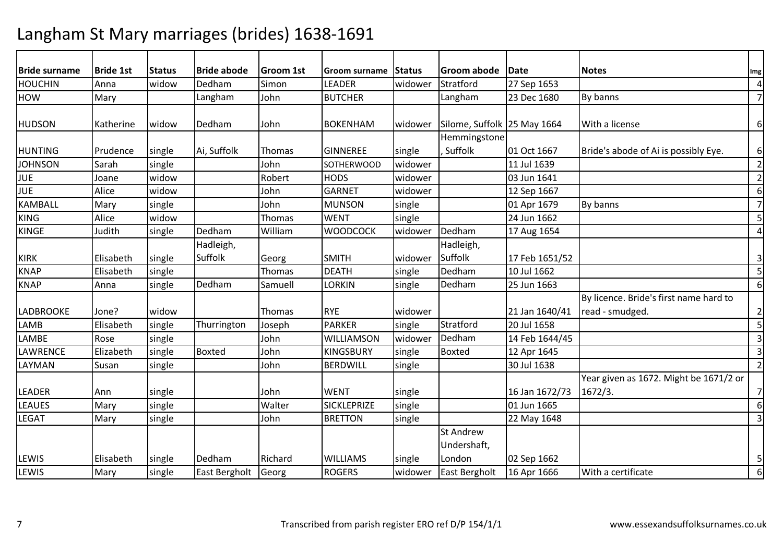| <b>Bride surname</b><br><b>Bride abode</b><br><b>Notes</b><br><b>Bride 1st</b><br><b>Status</b><br><b>Groom 1st</b><br>Groom abode Date<br><b>IStatus</b><br>Groom surname | Img                                    |
|----------------------------------------------------------------------------------------------------------------------------------------------------------------------------|----------------------------------------|
| Stratford<br><b>HOUCHIN</b><br>Dedham<br>Simon<br>LEADER<br>widow<br>widower<br>27 Sep 1653<br>Anna                                                                        | $\sqrt{4}$                             |
| <b>BUTCHER</b><br><b>HOW</b><br>Langham<br>John<br>Langham<br>23 Dec 1680<br>By banns<br>Mary                                                                              | $\overline{7}$                         |
|                                                                                                                                                                            |                                        |
| <b>HUDSON</b><br>Dedham<br><b>BOKENHAM</b><br>Silome, Suffolk 25 May 1664<br>With a license<br>Katherine<br>widow<br>John<br>widower                                       | 6                                      |
| Hemmingstone                                                                                                                                                               |                                        |
| Suffolk<br>Ai, Suffolk<br><b>HUNTING</b><br>01 Oct 1667<br>Bride's abode of Ai is possibly Eye.<br>Prudence<br>Thomas<br><b>GINNEREE</b><br>single<br>single               | 6                                      |
| <b>JOHNSON</b><br>single<br>Sarah<br>John<br>11 Jul 1639<br>SOTHERWOOD<br>widower                                                                                          | $\overline{2}$                         |
| <b>JUE</b><br>Robert<br>widow<br><b>HODS</b><br>widower<br>03 Jun 1641<br>Joane                                                                                            | $\overline{2}$                         |
| <b>JUE</b><br>Alice<br>widow<br><b>GARNET</b><br>John<br>widower<br>12 Sep 1667                                                                                            | 6                                      |
| <b>KAMBALL</b><br>By banns<br>single<br>John<br><b>MUNSON</b><br>single<br>01 Apr 1679<br>Mary                                                                             | $\overline{7}$                         |
| <b>KING</b><br><b>WENT</b><br>24 Jun 1662<br>Alice<br>widow<br><b>Thomas</b><br>single                                                                                     | 5                                      |
| Dedham<br>Dedham<br><b>KINGE</b><br><b>WOODCOCK</b><br>Judith<br>single<br>William<br>widower<br>17 Aug 1654                                                               | $\overline{4}$                         |
| Hadleigh,<br>Hadleigh,                                                                                                                                                     |                                        |
| Suffolk<br>Suffolk<br><b>SMITH</b><br>17 Feb 1651/52<br><b>KIRK</b><br>Elisabeth<br>single<br>widower<br>Georg                                                             | 3                                      |
| Dedham<br><b>KNAP</b><br><b>DEATH</b><br>10 Jul 1662<br>Elisabeth<br>single<br>Thomas<br>single                                                                            | 5                                      |
| <b>KNAP</b><br>Dedham<br>Dedham<br>Samuell<br><b>LORKIN</b><br>25 Jun 1663<br>Anna<br>single<br>single                                                                     | 6                                      |
|                                                                                                                                                                            | By licence. Bride's first name hard to |
| <b>LADBROOKE</b><br><b>RYE</b><br>widower<br>21 Jan 1640/41<br>read - smudged.<br>Jone?<br>widow<br>Thomas                                                                 | $\overline{2}$                         |
| Stratford<br>single<br><b>PARKER</b><br>LAMB<br>Elisabeth<br>20 Jul 1658<br>Thurrington<br>Joseph<br>single                                                                | 5                                      |
| Dedham<br>LAMBE<br>John<br>single<br>WILLIAMSON<br>widower<br>14 Feb 1644/45<br>Rose                                                                                       | 3                                      |
| Boxted<br>LAWRENCE<br><b>Boxted</b><br>John<br>Elizabeth<br>single<br><b>KINGSBURY</b><br>single<br>12 Apr 1645                                                            | $\overline{3}$                         |
| 30 Jul 1638<br><b>BERDWILL</b><br>LAYMAN<br>Susan<br>single<br>John<br>single                                                                                              | $\overline{2}$                         |
|                                                                                                                                                                            | Year given as 1672. Might be 1671/2 or |
| <b>LEADER</b><br>single<br><b>WENT</b><br>single<br>16 Jan 1672/73<br>Ann<br>John<br>1672/3.                                                                               | 7                                      |
| <b>LEAUES</b><br>single<br>Walter<br><b>SICKLEPRIZE</b><br>01 Jun 1665<br>single<br>Mary                                                                                   | 6                                      |
| <b>LEGAT</b><br>John<br><b>BRETTON</b><br>22 May 1648<br>Mary<br>single<br>single                                                                                          | 3                                      |
| <b>St Andrew</b>                                                                                                                                                           |                                        |
| Undershaft,                                                                                                                                                                |                                        |
| LEWIS<br>Elisabeth<br>Dedham<br>Richard<br>London<br>single<br><b>WILLIAMS</b><br>single<br>02 Sep 1662                                                                    | 5                                      |
| With a certificate<br>LEWIS<br>Mary<br>single<br>East Bergholt<br>Georg<br><b>ROGERS</b><br>widower<br><b>East Bergholt</b><br>16 Apr 1666                                 | 6                                      |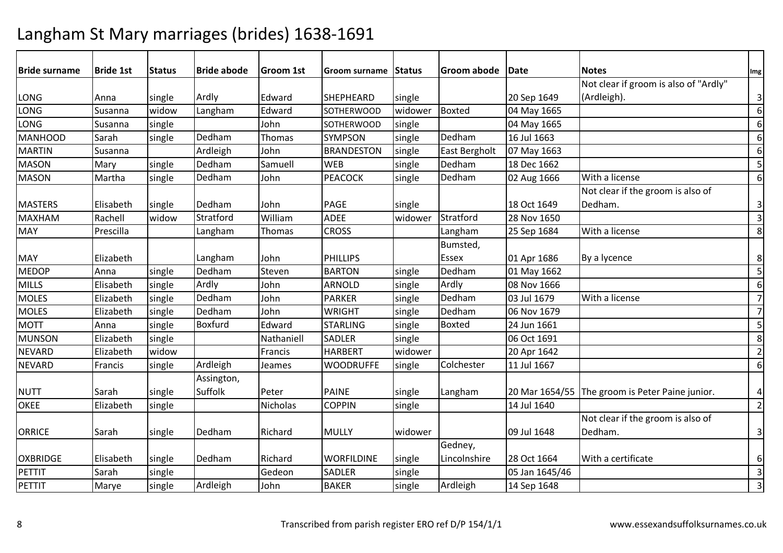| <b>Bride surname</b> | <b>Bride 1st</b> | <b>Status</b> | <b>Bride abode</b> | <b>Groom 1st</b> | Groom surname     | Status  | Groom abode   Date |                | <b>Notes</b>                                    | Img                     |
|----------------------|------------------|---------------|--------------------|------------------|-------------------|---------|--------------------|----------------|-------------------------------------------------|-------------------------|
|                      |                  |               |                    |                  |                   |         |                    |                | Not clear if groom is also of "Ardly"           |                         |
| LONG                 | Anna             | single        | Ardly              | Edward           | <b>SHEPHEARD</b>  | single  |                    | 20 Sep 1649    | (Ardleigh).                                     | $\overline{3}$          |
| LONG                 | Susanna          | widow         | Langham            | Edward           | <b>SOTHERWOOD</b> | widower | Boxted             | 04 May 1665    |                                                 | 6 <sup>1</sup>          |
| LONG                 | Susanna          | single        |                    | John             | SOTHERWOOD        | single  |                    | 04 May 1665    |                                                 | $6 \mid$                |
| MANHOOD              | Sarah            | single        | Dedham             | Thomas           | <b>SYMPSON</b>    | single  | Dedham             | 16 Jul 1663    |                                                 | $6 \mid$                |
| <b>MARTIN</b>        | Susanna          |               | Ardleigh           | John             | <b>BRANDESTON</b> | single  | East Bergholt      | 07 May 1663    |                                                 | $6 \mid$                |
| <b>MASON</b>         | Mary             | single        | Dedham             | Samuell          | <b>WEB</b>        | single  | Dedham             | 18 Dec 1662    |                                                 | 5                       |
| <b>MASON</b>         | Martha           | single        | Dedham             | John             | <b>PEACOCK</b>    | single  | Dedham             | 02 Aug 1666    | With a license                                  | 6 <sup>1</sup>          |
|                      |                  |               |                    |                  |                   |         |                    |                | Not clear if the groom is also of               |                         |
| <b>MASTERS</b>       | Elisabeth        | single        | Dedham             | John             | <b>PAGE</b>       | single  |                    | 18 Oct 1649    | Dedham.                                         | $\overline{3}$          |
| <b>MAXHAM</b>        | Rachell          | widow         | Stratford          | William          | <b>ADEE</b>       | widower | Stratford          | 28 Nov 1650    |                                                 | $\overline{3}$          |
| <b>MAY</b>           | Prescilla        |               | Langham            | Thomas           | <b>CROSS</b>      |         | Langham            | 25 Sep 1684    | With a license                                  | 8 <sup>1</sup>          |
|                      |                  |               |                    |                  |                   |         | Bumsted,           |                |                                                 |                         |
| <b>MAY</b>           | Elizabeth        |               | Langham            | John             | PHILLIPS          |         | <b>Essex</b>       | 01 Apr 1686    | By a lycence                                    | 8 <sup>1</sup>          |
| <b>MEDOP</b>         | Anna             | single        | Dedham             | Steven           | <b>BARTON</b>     | single  | Dedham             | 01 May 1662    |                                                 | 5                       |
| <b>MILLS</b>         | Elisabeth        | single        | Ardly              | John             | <b>ARNOLD</b>     | single  | Ardly              | 08 Nov 1666    |                                                 | 6 <sup>1</sup>          |
| <b>MOLES</b>         | Elizabeth        | single        | Dedham             | John             | <b>PARKER</b>     | single  | Dedham             | 03 Jul 1679    | With a license                                  | $\overline{7}$          |
| <b>MOLES</b>         | Elizabeth        | single        | Dedham             | John             | <b>WRIGHT</b>     | single  | Dedham             | 06 Nov 1679    |                                                 | $\overline{7}$          |
| <b>MOTT</b>          | Anna             | single        | Boxfurd            | Edward           | <b>STARLING</b>   | single  | <b>Boxted</b>      | 24 Jun 1661    |                                                 | 5                       |
| <b>MUNSON</b>        | Elizabeth        | single        |                    | Nathaniell       | <b>SADLER</b>     | single  |                    | 06 Oct 1691    |                                                 | 8 <sup>1</sup>          |
| <b>NEVARD</b>        | Elizabeth        | widow         |                    | Francis          | <b>HARBERT</b>    | widower |                    | 20 Apr 1642    |                                                 | $\overline{2}$          |
| <b>NEVARD</b>        | Francis          | single        | Ardleigh           | Jeames           | <b>WOODRUFFE</b>  | single  | Colchester         | 11 Jul 1667    |                                                 | $6 \mid$                |
|                      |                  |               | Assington,         |                  |                   |         |                    |                |                                                 |                         |
| <b>NUTT</b>          | Sarah            | single        | Suffolk            | Peter            | <b>PAINE</b>      | single  | Langham            |                | 20 Mar 1654/55 The groom is Peter Paine junior. | $\vert$                 |
| <b>OKEE</b>          | Elizabeth        | single        |                    | Nicholas         | <b>COPPIN</b>     | single  |                    | 14 Jul 1640    |                                                 | $\overline{2}$          |
|                      |                  |               |                    |                  |                   |         |                    |                | Not clear if the groom is also of               |                         |
| <b>ORRICE</b>        | Sarah            | single        | Dedham             | Richard          | <b>MULLY</b>      | widower |                    | 09 Jul 1648    | Dedham.                                         | $\overline{3}$          |
|                      |                  |               |                    |                  |                   |         | Gedney,            |                |                                                 |                         |
| <b>OXBRIDGE</b>      | Elisabeth        | single        | Dedham             | Richard          | <b>WORFILDINE</b> | single  | Lincolnshire       | 28 Oct 1664    | With a certificate                              | $6 \mid$                |
| PETTIT               | Sarah            | single        |                    | Gedeon           | SADLER            | single  |                    | 05 Jan 1645/46 |                                                 | $\overline{3}$          |
| PETTIT               | Marye            | single        | Ardleigh           | John             | <b>BAKER</b>      | single  | Ardleigh           | 14 Sep 1648    |                                                 | $\overline{\mathbf{3}}$ |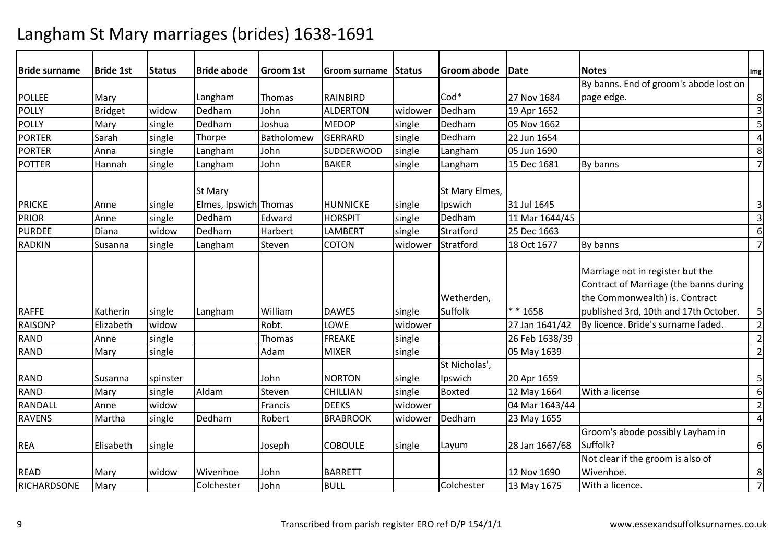| <b>Bride surname</b>          | <b>Bride 1st</b> | <b>Status</b>    | <b>Bride abode</b>                         | <b>Groom 1st</b> | Groom surname                     | <b>Status</b>    | Groom abode                         | Date                          | <b>Notes</b>                                                                                                                                          | Img                          |
|-------------------------------|------------------|------------------|--------------------------------------------|------------------|-----------------------------------|------------------|-------------------------------------|-------------------------------|-------------------------------------------------------------------------------------------------------------------------------------------------------|------------------------------|
|                               |                  |                  |                                            |                  |                                   |                  |                                     |                               | By banns. End of groom's abode lost on                                                                                                                |                              |
| <b>POLLEE</b>                 | Mary             |                  | Langham                                    | Thomas           | <b>RAINBIRD</b>                   |                  | $Cod*$                              | 27 Nov 1684                   | page edge.                                                                                                                                            | 8                            |
| POLLY                         | <b>Bridget</b>   | widow            | Dedham                                     | John             | <b>ALDERTON</b>                   | widower          | Dedham                              | 19 Apr 1652                   |                                                                                                                                                       | $\overline{3}$               |
| <b>POLLY</b>                  | Mary             | single           | Dedham                                     | Joshua           | <b>MEDOP</b>                      | single           | Dedham                              | 05 Nov 1662                   |                                                                                                                                                       | 5                            |
| <b>PORTER</b>                 | Sarah            | single           | Thorpe                                     | Batholomew       | <b>GERRARD</b>                    | single           | Dedham                              | 22 Jun 1654                   |                                                                                                                                                       | $\overline{\mathbf{4}}$      |
| <b>PORTER</b>                 | Anna             | single           | Langham                                    | John             | <b>SUDDERWOOD</b>                 | single           | Langham                             | 05 Jun 1690                   |                                                                                                                                                       | 8                            |
| POTTER                        | Hannah           | single           | Langham                                    | John             | <b>BAKER</b>                      | single           | Langham                             | 15 Dec 1681                   | By banns                                                                                                                                              | $\overline{7}$               |
| <b>PRICKE</b><br><b>PRIOR</b> | Anne<br>Anne     | single<br>single | St Mary<br>Elmes, Ipswich Thomas<br>Dedham | Edward           | <b>HUNNICKE</b><br><b>HORSPIT</b> | single<br>single | St Mary Elmes,<br>Ipswich<br>Dedham | 31 Jul 1645<br>11 Mar 1644/45 |                                                                                                                                                       | 3<br>$\overline{\mathbf{3}}$ |
| <b>PURDEE</b>                 | Diana            | widow            | Dedham                                     | Harbert          | <b>LAMBERT</b>                    | single           | Stratford                           | 25 Dec 1663                   |                                                                                                                                                       | 6                            |
| RADKIN                        | Susanna          |                  | Langham                                    | Steven           | <b>COTON</b>                      | widower          | Stratford                           | 18 Oct 1677                   | By banns                                                                                                                                              | $\overline{7}$               |
|                               |                  | single           |                                            |                  |                                   |                  |                                     |                               |                                                                                                                                                       |                              |
| <b>RAFFE</b>                  | Katherin         | single           | Langham                                    | William          | <b>DAWES</b>                      | single           | Wetherden,<br>Suffolk               | $* * 1658$                    | Marriage not in register but the<br>Contract of Marriage (the banns during<br>the Commonwealth) is. Contract<br>published 3rd, 10th and 17th October. | $\mathsf S$                  |
| RAISON?                       | Elizabeth        | widow            |                                            | Robt.            | LOWE                              | widower          |                                     | 27 Jan 1641/42                | By licence. Bride's surname faded.                                                                                                                    | $\overline{2}$               |
| RAND                          | Anne             | single           |                                            | Thomas           | <b>FREAKE</b>                     | single           |                                     | 26 Feb 1638/39                |                                                                                                                                                       | $\overline{2}$               |
| <b>RAND</b>                   | Mary             | single           |                                            | Adam             | <b>MIXER</b>                      | single           |                                     | 05 May 1639                   |                                                                                                                                                       | $\overline{2}$               |
|                               |                  |                  |                                            |                  |                                   |                  | St Nicholas',                       |                               |                                                                                                                                                       |                              |
| <b>RAND</b>                   | Susanna          | spinster         |                                            | John             | <b>NORTON</b>                     | single           | Ipswich                             | 20 Apr 1659                   |                                                                                                                                                       | 5                            |
| RAND                          | Mary             | single           | Aldam                                      | Steven           | <b>CHILLIAN</b>                   | single           | Boxted                              | 12 May 1664                   | With a license                                                                                                                                        | $\boldsymbol{6}$             |
| RANDALL                       | Anne             | widow            |                                            | Francis          | <b>DEEKS</b>                      | widower          |                                     | 04 Mar 1643/44                |                                                                                                                                                       | $\overline{2}$               |
| RAVENS                        | Martha           | single           | Dedham                                     | Robert           | <b>BRABROOK</b>                   | widower          | Dedham                              | 23 May 1655                   |                                                                                                                                                       | $\overline{4}$               |
| <b>REA</b>                    | Elisabeth        | single           |                                            | Joseph           | <b>COBOULE</b>                    | single           | Layum                               | 28 Jan 1667/68                | Groom's abode possibly Layham in<br>Suffolk?                                                                                                          | 6                            |
| <b>READ</b>                   | Mary             | widow            | Wivenhoe                                   | John             | <b>BARRETT</b>                    |                  |                                     | 12 Nov 1690                   | Not clear if the groom is also of<br>Wivenhoe.                                                                                                        | 8                            |
| RICHARDSONE                   | Mary             |                  | Colchester                                 | John             | <b>BULL</b>                       |                  | Colchester                          | 13 May 1675                   | With a licence.                                                                                                                                       | $\overline{7}$               |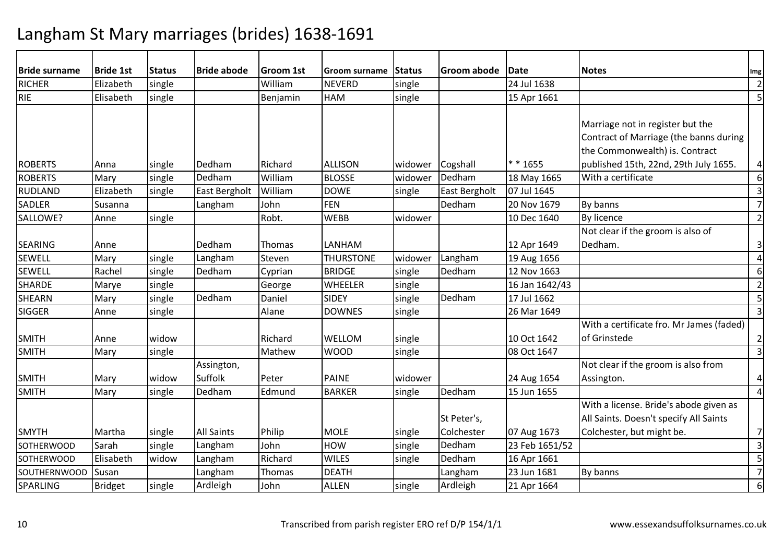| <b>Bride surname</b> | <b>Bride 1st</b> | <b>Status</b> | <b>Bride abode</b>    | Groom 1st | <b>Groom surname</b> | Status  | Groom abode   | Date           | <b>Notes</b>                                                                                                 | Img                     |
|----------------------|------------------|---------------|-----------------------|-----------|----------------------|---------|---------------|----------------|--------------------------------------------------------------------------------------------------------------|-------------------------|
| <b>RICHER</b>        | Elizabeth        | single        |                       | William   | <b>NEVERD</b>        | single  |               | 24 Jul 1638    |                                                                                                              | $\overline{2}$          |
| <b>RIE</b>           | Elisabeth        | single        |                       | Benjamin  | <b>HAM</b>           | single  |               | 15 Apr 1661    |                                                                                                              | 5                       |
|                      |                  |               |                       |           |                      |         |               |                | Marriage not in register but the<br>Contract of Marriage (the banns during<br>the Commonwealth) is. Contract |                         |
| <b>ROBERTS</b>       | Anna             | single        | Dedham                | Richard   | <b>ALLISON</b>       | widower | Cogshall      | $* * 1655$     | published 15th, 22nd, 29th July 1655.                                                                        | 4                       |
| <b>ROBERTS</b>       | Mary             | single        | Dedham                | William   | <b>BLOSSE</b>        | widower | Dedham        | 18 May 1665    | With a certificate                                                                                           | $\overline{6}$          |
| <b>RUDLAND</b>       | Elizabeth        | single        | East Bergholt         | William   | <b>DOWE</b>          | single  | East Bergholt | 07 Jul 1645    |                                                                                                              | $\overline{3}$          |
| <b>SADLER</b>        | Susanna          |               | Langham               | John      | FEN                  |         | Dedham        | 20 Nov 1679    | By banns                                                                                                     | $\overline{7}$          |
| SALLOWE?             | Anne             | single        |                       | Robt.     | <b>WEBB</b>          | widower |               | 10 Dec 1640    | By licence                                                                                                   | $\overline{2}$          |
| <b>SEARING</b>       | Anne             |               | Dedham                | Thomas    | LANHAM               |         |               | 12 Apr 1649    | Not clear if the groom is also of<br>Dedham.                                                                 | $\mathsf 3$             |
| <b>SEWELL</b>        | Mary             | single        | Langham               | Steven    | <b>THURSTONE</b>     | widower | Langham       | 19 Aug 1656    |                                                                                                              | $\overline{\mathbf{4}}$ |
| <b>SEWELL</b>        | Rachel           | single        | Dedham                | Cyprian   | <b>BRIDGE</b>        | single  | Dedham        | 12 Nov 1663    |                                                                                                              | 6                       |
| <b>SHARDE</b>        | Marye            | single        |                       | George    | <b>WHEELER</b>       | single  |               | 16 Jan 1642/43 |                                                                                                              | $\overline{2}$          |
| <b>SHEARN</b>        | Mary             | single        | Dedham                | Daniel    | <b>SIDEY</b>         | single  | Dedham        | 17 Jul 1662    |                                                                                                              | $\mathsf S$             |
| <b>SIGGER</b>        | Anne             | single        |                       | Alane     | <b>DOWNES</b>        | single  |               | 26 Mar 1649    |                                                                                                              | $\overline{3}$          |
| <b>SMITH</b>         | Anne             | widow         |                       | Richard   | WELLOM               | single  |               | 10 Oct 1642    | With a certificate fro. Mr James (faded)<br>of Grinstede                                                     | $\overline{2}$          |
| <b>SMITH</b>         | Mary             | single        |                       | Mathew    | <b>WOOD</b>          | single  |               | 08 Oct 1647    |                                                                                                              | $\overline{\mathbf{3}}$ |
| <b>SMITH</b>         | Mary             | widow         | Assington,<br>Suffolk | Peter     | <b>PAINE</b>         | widower |               | 24 Aug 1654    | Not clear if the groom is also from<br>Assington.                                                            | 4                       |
| <b>SMITH</b>         | Mary             | single        | Dedham                | Edmund    | <b>BARKER</b>        | single  | Dedham        | 15 Jun 1655    |                                                                                                              | $\overline{4}$          |
|                      |                  |               |                       |           |                      |         | St Peter's,   |                | With a license. Bride's abode given as<br>All Saints. Doesn't specify All Saints                             |                         |
| <b>SMYTH</b>         | Martha           | single        | <b>All Saints</b>     | Philip    | <b>MOLE</b>          | single  | Colchester    | 07 Aug 1673    | Colchester, but might be.                                                                                    | $\overline{7}$          |
| <b>SOTHERWOOD</b>    | Sarah            | single        | Langham               | John      | <b>HOW</b>           | single  | Dedham        | 23 Feb 1651/52 |                                                                                                              | $\overline{3}$          |
| <b>SOTHERWOOD</b>    | Elisabeth        | widow         | Langham               | Richard   | <b>WILES</b>         | single  | Dedham        | 16 Apr 1661    |                                                                                                              | 5                       |
| <b>SOUTHERNWOOD</b>  | Susan            |               | Langham               | Thomas    | <b>DEATH</b>         |         | Langham       | 23 Jun 1681    | By banns                                                                                                     | $\overline{7}$          |
| SPARLING             | <b>Bridget</b>   | single        | Ardleigh              | John      | <b>ALLEN</b>         | single  | Ardleigh      | 21 Apr 1664    |                                                                                                              | 6                       |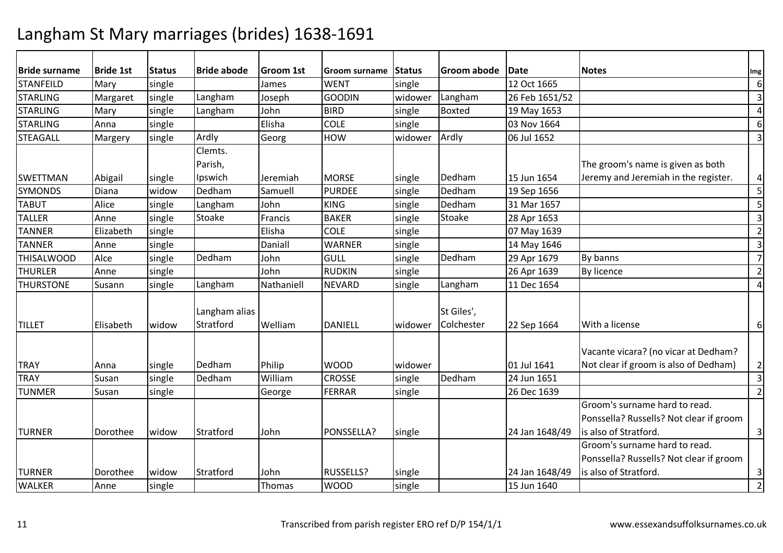| <b>Bride surname</b> | <b>Bride 1st</b> | <b>Status</b> | <b>Bride abode</b> | Groom 1st  | Groom surname  | Status  | Groom abode | Date           | <b>Notes</b>                            | Img                     |
|----------------------|------------------|---------------|--------------------|------------|----------------|---------|-------------|----------------|-----------------------------------------|-------------------------|
| <b>STANFEILD</b>     | Mary             | single        |                    | James      | <b>WENT</b>    | single  |             | 12 Oct 1665    |                                         | 6                       |
| <b>STARLING</b>      | Margaret         | single        | Langham            | Joseph     | <b>GOODIN</b>  | widower | Langham     | 26 Feb 1651/52 |                                         | $\overline{\mathbf{3}}$ |
| <b>STARLING</b>      | Mary             | single        | Langham            | John       | <b>BIRD</b>    | single  | Boxted      | 19 May 1653    |                                         | $\overline{a}$          |
| <b>STARLING</b>      | Anna             | single        |                    | Elisha     | <b>COLE</b>    | single  |             | 03 Nov 1664    |                                         | 6                       |
| <b>STEAGALL</b>      | Margery          | single        | Ardly              | Georg      | HOW            | widower | Ardly       | 06 Jul 1652    |                                         | 3                       |
|                      |                  |               | Clemts.            |            |                |         |             |                |                                         |                         |
|                      |                  |               | Parish,            |            |                |         |             |                | The groom's name is given as both       |                         |
| <b>SWETTMAN</b>      | Abigail          | single        | Ipswich            | Jeremiah   | <b>MORSE</b>   | single  | Dedham      | 15 Jun 1654    | Jeremy and Jeremiah in the register.    | $\overline{4}$          |
| <b>SYMONDS</b>       | Diana            | widow         | Dedham             | Samuell    | <b>PURDEE</b>  | single  | Dedham      | 19 Sep 1656    |                                         | 5                       |
| <b>TABUT</b>         | Alice            | single        | Langham            | John       | <b>KING</b>    | single  | Dedham      | 31 Mar 1657    |                                         | 5                       |
| <b>TALLER</b>        | Anne             | single        | Stoake             | Francis    | <b>BAKER</b>   | single  | Stoake      | 28 Apr 1653    |                                         | $\overline{3}$          |
| <b>TANNER</b>        | Elizabeth        | single        |                    | Elisha     | <b>COLE</b>    | single  |             | 07 May 1639    |                                         | $\overline{2}$          |
| <b>TANNER</b>        | Anne             | single        |                    | Daniall    | <b>WARNER</b>  | single  |             | 14 May 1646    |                                         | $\overline{\mathbf{3}}$ |
| <b>THISALWOOD</b>    | Alce             | single        | Dedham             | John       | <b>GULL</b>    | single  | Dedham      | 29 Apr 1679    | By banns                                | $\overline{7}$          |
| <b>THURLER</b>       | Anne             | single        |                    | John       | <b>RUDKIN</b>  | single  |             | 26 Apr 1639    | By licence                              | $\overline{2}$          |
| <b>THURSTONE</b>     | Susann           | single        | Langham            | Nathaniell | <b>NEVARD</b>  | single  | Langham     | 11 Dec 1654    |                                         | $\overline{4}$          |
|                      |                  |               |                    |            |                |         |             |                |                                         |                         |
|                      |                  |               | Langham alias      |            |                |         | St Giles',  |                |                                         |                         |
| <b>TILLET</b>        | Elisabeth        | widow         | Stratford          | Welliam    | <b>DANIELL</b> | widower | Colchester  | 22 Sep 1664    | With a license                          | 6                       |
|                      |                  |               |                    |            |                |         |             |                |                                         |                         |
|                      |                  |               |                    |            |                |         |             |                | Vacante vicara? (no vicar at Dedham?    |                         |
| <b>TRAY</b>          | Anna             | single        | Dedham             | Philip     | <b>WOOD</b>    | widower |             | 01 Jul 1641    | Not clear if groom is also of Dedham)   | $\overline{2}$          |
| <b>TRAY</b>          | Susan            | single        | Dedham             | William    | <b>CROSSE</b>  | single  | Dedham      | 24 Jun 1651    |                                         | 3                       |
| <b>TUNMER</b>        | Susan            | single        |                    | George     | <b>FERRAR</b>  | single  |             | 26 Dec 1639    |                                         | $\overline{2}$          |
|                      |                  |               |                    |            |                |         |             |                | Groom's surname hard to read.           |                         |
|                      |                  |               |                    |            |                |         |             |                | Ponssella? Russells? Not clear if groom |                         |
| <b>TURNER</b>        | Dorothee         | widow         | Stratford          | John       | PONSSELLA?     | single  |             | 24 Jan 1648/49 | is also of Stratford.                   | $\overline{3}$          |
|                      |                  |               |                    |            |                |         |             |                | Groom's surname hard to read.           |                         |
|                      |                  |               |                    |            |                |         |             |                | Ponssella? Russells? Not clear if groom |                         |
| <b>TURNER</b>        | Dorothee         | widow         | Stratford          | John       | RUSSELLS?      | single  |             | 24 Jan 1648/49 | is also of Stratford.                   | 3                       |
| <b>WALKER</b>        | Anne             | single        |                    | Thomas     | <b>WOOD</b>    | single  |             | 15 Jun 1640    |                                         | $\overline{2}$          |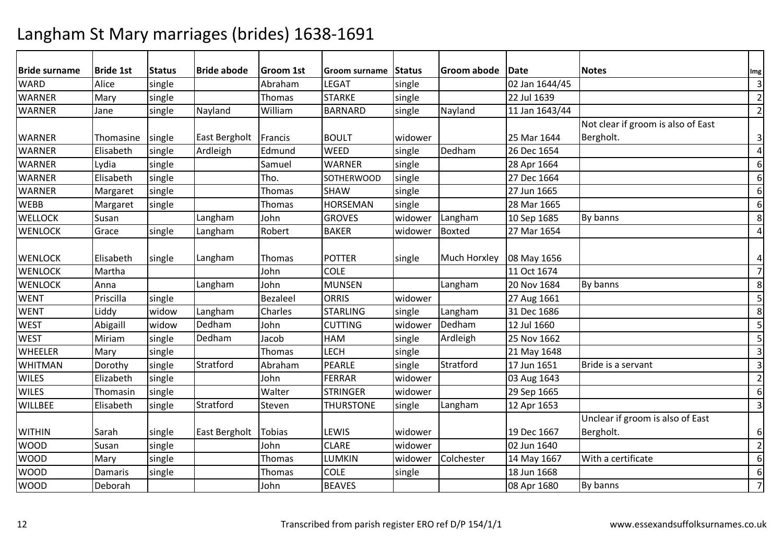| <b>Bride surname</b> | <b>Bride 1st</b> | <b>Status</b> | <b>Bride abode</b> | Groom 1st     | <b>Groom surname</b> | Status  | Groom abode   | Date           | <b>Notes</b>                       | Img              |
|----------------------|------------------|---------------|--------------------|---------------|----------------------|---------|---------------|----------------|------------------------------------|------------------|
| <b>WARD</b>          | Alice            | single        |                    | Abraham       | <b>LEGAT</b>         | single  |               | 02 Jan 1644/45 |                                    | $\overline{3}$   |
| <b>WARNER</b>        | Mary             | single        |                    | Thomas        | <b>STARKE</b>        | single  |               | 22 Jul 1639    |                                    | $\overline{2}$   |
| <b>WARNER</b>        | Jane             | single        | Nayland            | William       | <b>BARNARD</b>       | single  | Nayland       | 11 Jan 1643/44 |                                    | $\overline{2}$   |
|                      |                  |               |                    |               |                      |         |               |                | Not clear if groom is also of East |                  |
| <b>WARNER</b>        | Thomasine        | single        | East Bergholt      | Francis       | <b>BOULT</b>         | widower |               | 25 Mar 1644    | Bergholt.                          | $\mathsf 3$      |
| <b>WARNER</b>        | Elisabeth        | single        | Ardleigh           | Edmund        | <b>WEED</b>          | single  | Dedham        | 26 Dec 1654    |                                    | $\overline{4}$   |
| <b>WARNER</b>        | Lydia            | single        |                    | Samuel        | <b>WARNER</b>        | single  |               | 28 Apr 1664    |                                    | $6\,$            |
| <b>WARNER</b>        | Elisabeth        | single        |                    | Tho.          | <b>SOTHERWOOD</b>    | single  |               | 27 Dec 1664    |                                    | 6                |
| <b>WARNER</b>        | Margaret         | single        |                    | Thomas        | <b>SHAW</b>          | single  |               | 27 Jun 1665    |                                    | $6\,$            |
| <b>WEBB</b>          | Margaret         | single        |                    | Thomas        | <b>HORSEMAN</b>      | single  |               | 28 Mar 1665    |                                    | 6                |
| <b>WELLOCK</b>       | Susan            |               | Langham            | John          | <b>GROVES</b>        | widower | Langham       | 10 Sep 1685    | By banns                           | 8                |
| <b>WENLOCK</b>       | Grace            | single        | Langham            | Robert        | <b>BAKER</b>         | widower | <b>Boxted</b> | 27 Mar 1654    |                                    | $\overline{4}$   |
|                      |                  |               |                    |               |                      |         |               |                |                                    |                  |
| <b>WENLOCK</b>       | Elisabeth        | single        | Langham            | Thomas        | <b>POTTER</b>        | single  | Much Horxley  | 08 May 1656    |                                    | $\pmb{4}$        |
| <b>WENLOCK</b>       | Martha           |               |                    | John          | <b>COLE</b>          |         |               | 11 Oct 1674    |                                    | $\overline{7}$   |
| <b>WENLOCK</b>       | Anna             |               | Langham            | John          | <b>MUNSEN</b>        |         | Langham       | 20 Nov 1684    | By banns                           | 8                |
| <b>WENT</b>          | Priscilla        | single        |                    | Bezaleel      | <b>ORRIS</b>         | widower |               | 27 Aug 1661    |                                    | 5                |
| <b>WENT</b>          | Liddy            | widow         | Langham            | Charles       | <b>STARLING</b>      | single  | Langham       | 31 Dec 1686    |                                    | 8                |
| <b>WEST</b>          | Abigaill         | widow         | Dedham             | John          | <b>CUTTING</b>       | widower | Dedham        | 12 Jul 1660    |                                    | 5                |
| <b>WEST</b>          | Miriam           | single        | Dedham             | Jacob         | <b>HAM</b>           | single  | Ardleigh      | 25 Nov 1662    |                                    | 5                |
| <b>WHEELER</b>       | Mary             | single        |                    | Thomas        | <b>LECH</b>          | single  |               | 21 May 1648    |                                    | $\overline{3}$   |
| <b>WHITMAN</b>       | Dorothy          | single        | Stratford          | Abraham       | PEARLE               | single  | Stratford     | 17 Jun 1651    | Bride is a servant                 | $\overline{3}$   |
| <b>WILES</b>         | Elizabeth        | single        |                    | John          | <b>FERRAR</b>        | widower |               | 03 Aug 1643    |                                    | $\overline{2}$   |
| <b>WILES</b>         | Thomasin         | single        |                    | Walter        | <b>STRINGER</b>      | widower |               | 29 Sep 1665    |                                    | $\boldsymbol{6}$ |
| <b>WILLBEE</b>       | Elisabeth        | single        | Stratford          | Steven        | <b>THURSTONE</b>     | single  | Langham       | 12 Apr 1653    |                                    | $\overline{3}$   |
|                      |                  |               |                    |               |                      |         |               |                | Unclear if groom is also of East   |                  |
| <b>WITHIN</b>        | Sarah            | single        | East Bergholt      | <b>Tobias</b> | LEWIS                | widower |               | 19 Dec 1667    | Bergholt.                          | 6                |
| <b>WOOD</b>          | Susan            | single        |                    | John          | <b>CLARE</b>         | widower |               | 02 Jun 1640    |                                    | $\overline{2}$   |
| <b>WOOD</b>          | Mary             | single        |                    | Thomas        | LUMKIN               | widower | Colchester    | 14 May 1667    | With a certificate                 | $6\,$            |
| <b>WOOD</b>          | Damaris          | single        |                    | Thomas        | <b>COLE</b>          | single  |               | 18 Jun 1668    |                                    | $6\,$            |
| <b>WOOD</b>          | Deborah          |               |                    | John          | <b>BEAVES</b>        |         |               | 08 Apr 1680    | By banns                           | $\overline{7}$   |